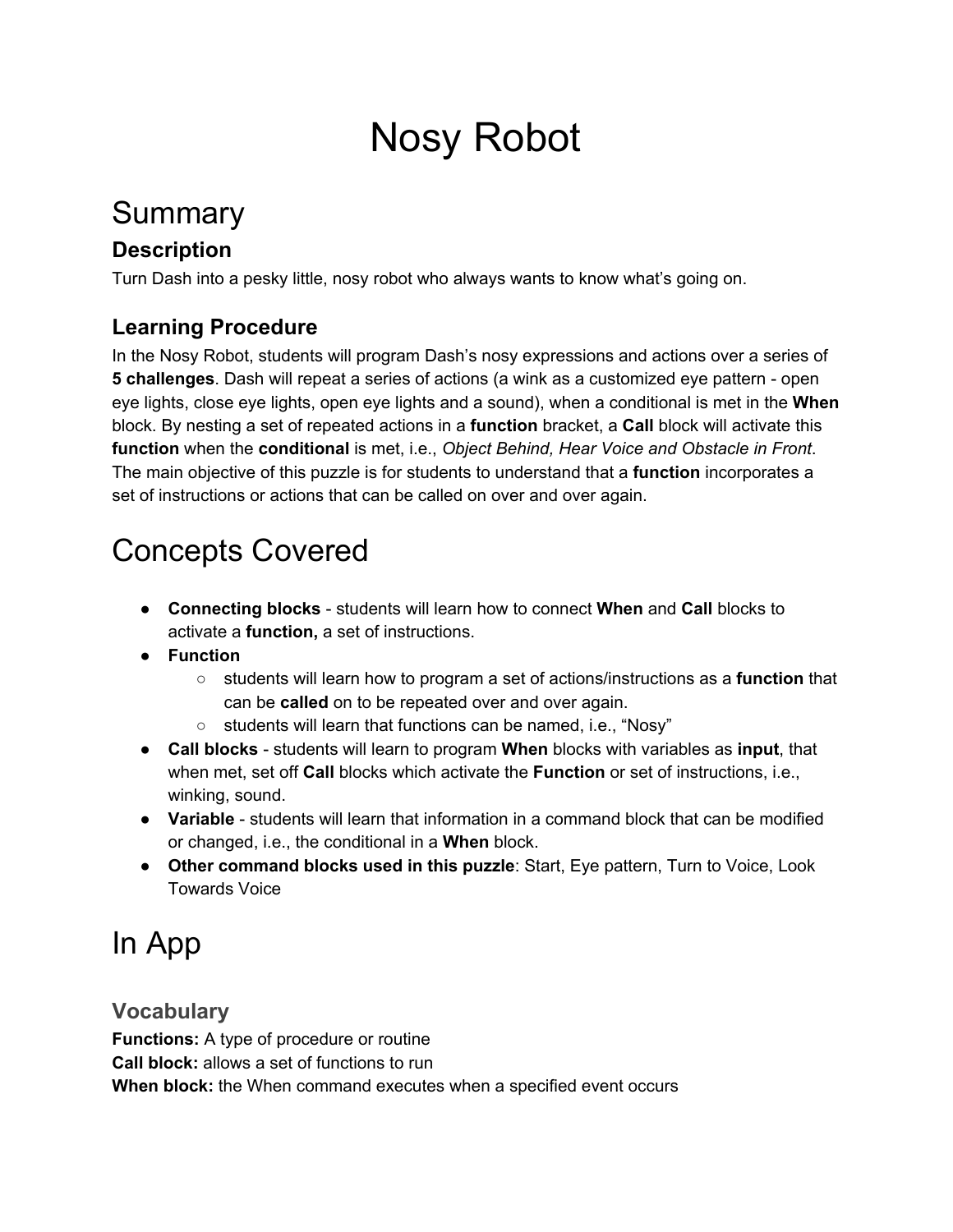# Nosy Robot

## Summary

### **Description**

Turn Dash into a pesky little, nosy robot who always wants to know what's going on.

### **Learning Procedure**

In the Nosy Robot, students will program Dash's nosy expressions and actions over a series of **5 challenges**. Dash will repeat a series of actions (a wink as a customized eye pattern - open eye lights, close eye lights, open eye lights and a sound), when a conditional is met in the **When** block. By nesting a set of repeated actions in a **function** bracket, a **Call** block will activate this **function** when the **conditional** is met, i.e., *Object Behind, Hear Voice and Obstacle in Front*. The main objective of this puzzle is for students to understand that a **function** incorporates a set of instructions or actions that can be called on over and over again.

## Concepts Covered

- **Connecting blocks** students will learn how to connect **When** and **Call** blocks to activate a **function,** a set of instructions.
- **Function**
	- students will learn how to program a set of actions/instructions as a **function** that can be **called** on to be repeated over and over again.
	- students will learn that functions can be named, i.e., "Nosy"
- **Call blocks** students will learn to program **When** blocks with variables as **input**, that when met, set off **Call** blocks which activate the **Function** or set of instructions, i.e., winking, sound.
- **Variable** students will learn that information in a command block that can be modified or changed, i.e., the conditional in a **When** block.
- **Other command blocks used in this puzzle**: Start, Eye pattern, Turn to Voice, Look Towards Voice

## In App

### **Vocabulary**

**Functions:** A type of procedure or routine **Call block:** allows a set of functions to run **When block:** the When command executes when a specified event occurs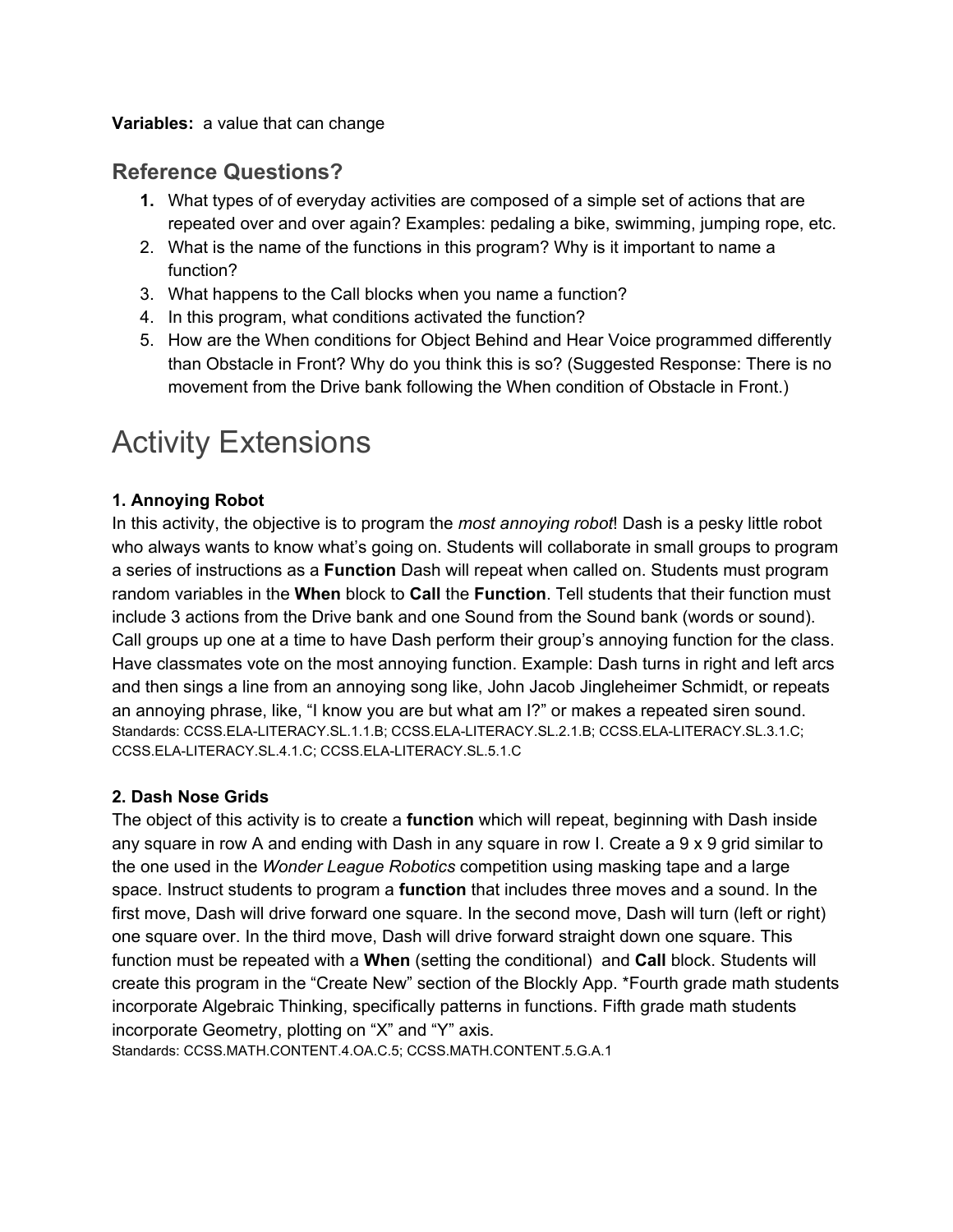#### **Variables:** a value that can change

### **Reference Questions?**

- **1.** What types of of everyday activities are composed of a simple set of actions that are repeated over and over again? Examples: pedaling a bike, swimming, jumping rope, etc.
- 2. What is the name of the functions in this program? Why is it important to name a function?
- 3. What happens to the Call blocks when you name a function?
- 4. In this program, what conditions activated the function?
- 5. How are the When conditions for Object Behind and Hear Voice programmed differently than Obstacle in Front? Why do you think this is so? (Suggested Response: There is no movement from the Drive bank following the When condition of Obstacle in Front.)

## Activity Extensions

#### **1. Annoying Robot**

In this activity, the objective is to program the *most annoying robot*! Dash is a pesky little robot who always wants to know what's going on. Students will collaborate in small groups to program a series of instructions as a **Function** Dash will repeat when called on. Students must program random variables in the **When** block to **Call** the **Function**. Tell students that their function must include 3 actions from the Drive bank and one Sound from the Sound bank (words or sound). Call groups up one at a time to have Dash perform their group's annoying function for the class. Have classmates vote on the most annoying function. Example: Dash turns in right and left arcs and then sings a line from an annoying song like, John Jacob Jingleheimer Schmidt, or repeats an annoying phrase, like, "I know you are but what am I?" or makes a repeated siren sound. Standards: CCSS.ELA-LITERACY.SL.1.1.B; CCSS.ELA-LITERACY.SL.2.1.B; CCSS.ELA-LITERACY.SL.3.1.C; CCSS.ELA-LITERACY.SL.4.1.C; CCSS.ELA-LITERACY.SL.5.1.C

#### **2. Dash Nose Grids**

The object of this activity is to create a **function** which will repeat, beginning with Dash inside any square in row A and ending with Dash in any square in row I. Create a 9 x 9 grid similar to the one used in the *Wonder League Robotics* competition using masking tape and a large space. Instruct students to program a **function** that includes three moves and a sound. In the first move, Dash will drive forward one square. In the second move, Dash will turn (left or right) one square over. In the third move, Dash will drive forward straight down one square. This function must be repeated with a **When** (setting the conditional) and **Call** block. Students will create this program in the "Create New" section of the Blockly App. \*Fourth grade math students incorporate Algebraic Thinking, specifically patterns in functions. Fifth grade math students incorporate Geometry, plotting on "X" and "Y" axis.

Standards: CCSS.MATH.CONTENT.4.OA.C.5; CCSS.MATH.CONTENT.5.G.A.1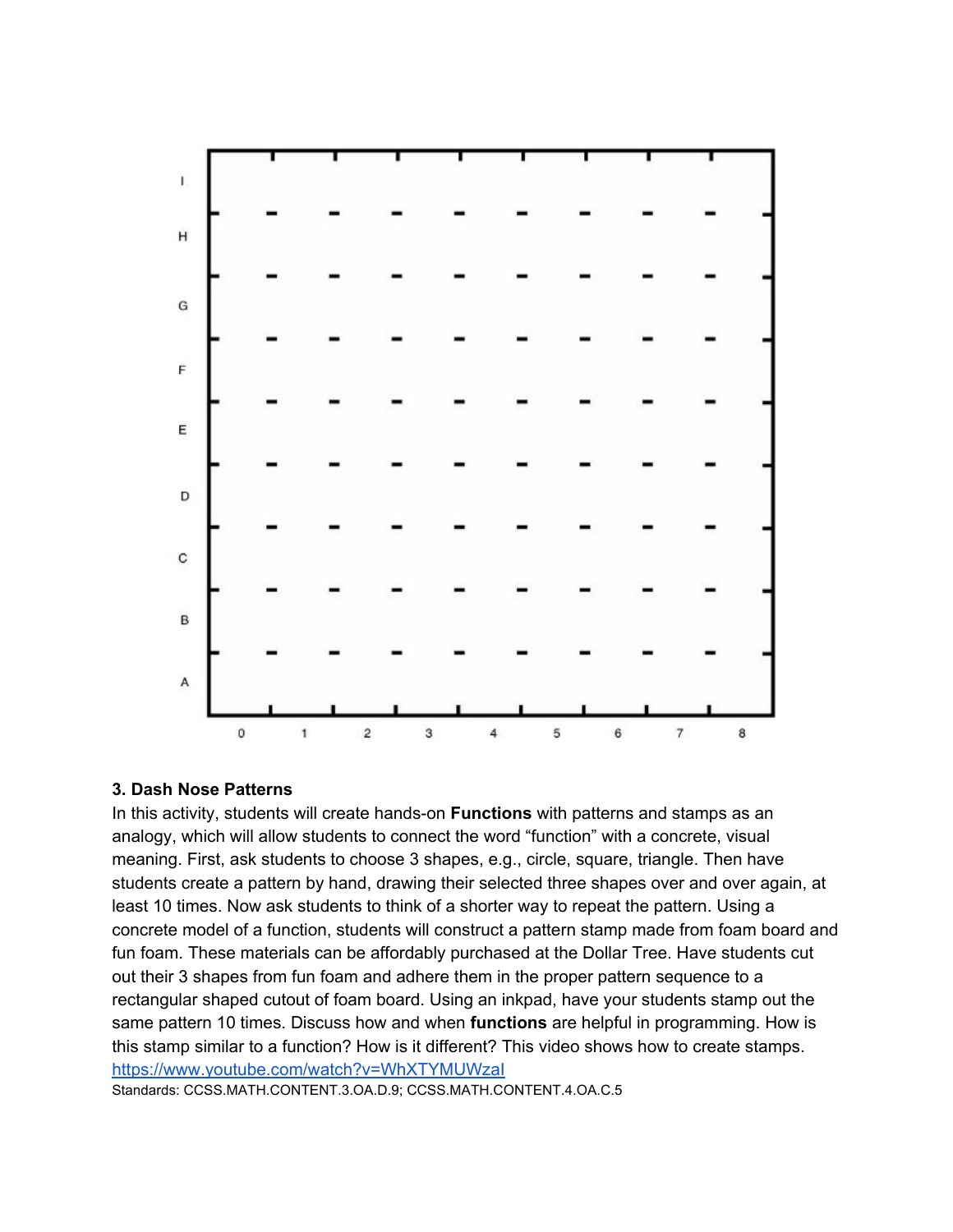

#### **3. Dash Nose Patterns**

In this activity, students will create hands-on **Functions** with patterns and stamps as an analogy, which will allow students to connect the word "function" with a concrete, visual meaning. First, ask students to choose 3 shapes, e.g., circle, square, triangle. Then have students create a pattern by hand, drawing their selected three shapes over and over again, at least 10 times. Now ask students to think of a shorter way to repeat the pattern. Using a concrete model of a function, students will construct a pattern stamp made from foam board and fun foam. These materials can be affordably purchased at the Dollar Tree. Have students cut out their 3 shapes from fun foam and adhere them in the proper pattern sequence to a rectangular shaped cutout of foam board. Using an inkpad, have your students stamp out the same pattern 10 times. Discuss how and when **functions** are helpful in programming. How is this stamp similar to a function? How is it different? This video shows how to create stamps. <https://www.youtube.com/watch?v=WhXTYMUWzaI>

Standards: CCSS.MATH.CONTENT.3.OA.D.9; CCSS.MATH.CONTENT.4.OA.C.5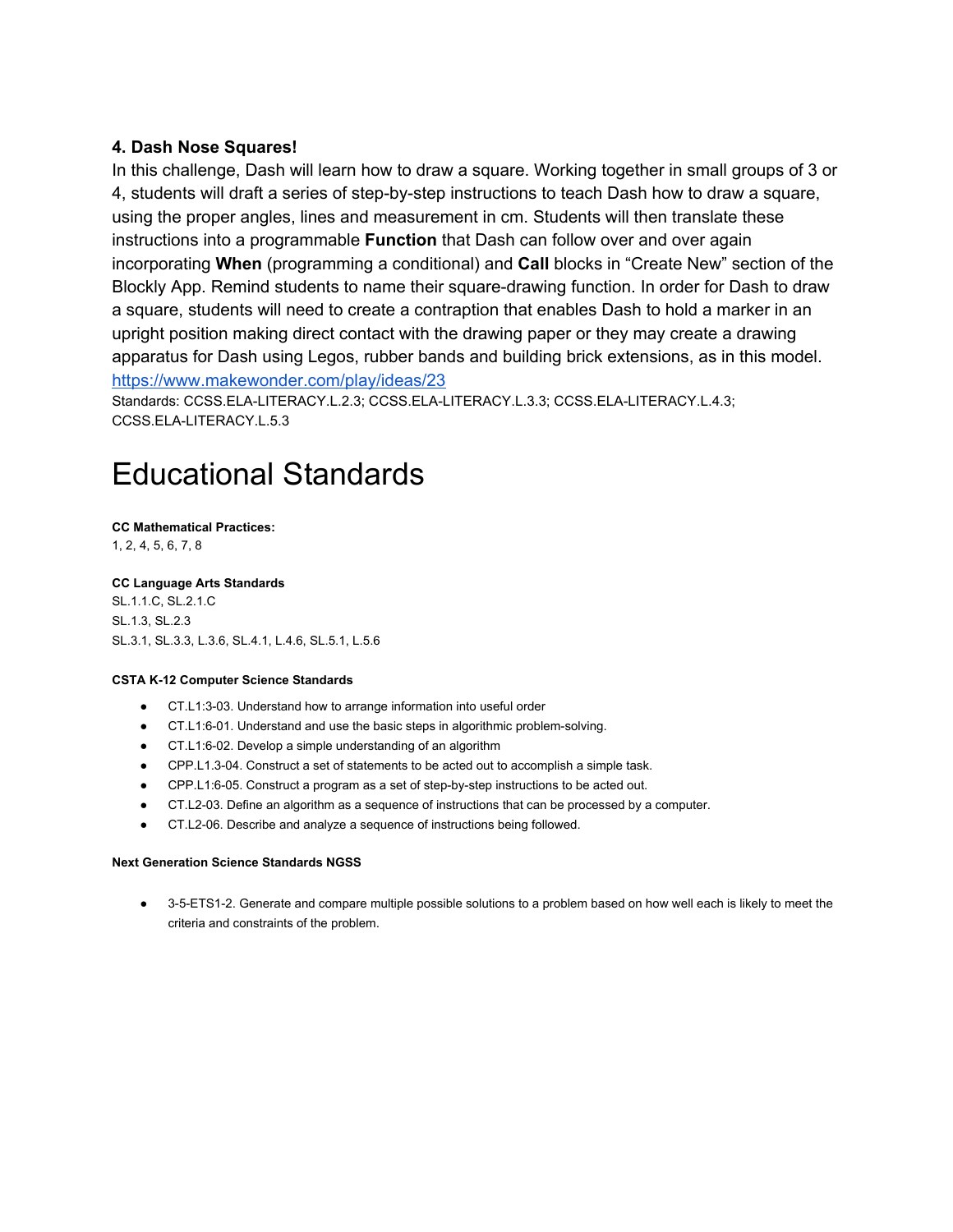#### **4. Dash Nose Squares!**

In this challenge, Dash will learn how to draw a square. Working together in small groups of 3 or 4, students will draft a series of step-by-step instructions to teach Dash how to draw a square, using the proper angles, lines and measurement in cm. Students will then translate these instructions into a programmable **Function** that Dash can follow over and over again incorporating **When** (programming a conditional) and **Call** blocks in "Create New" section of the Blockly App. Remind students to name their square-drawing function. In order for Dash to draw a square, students will need to create a contraption that enables Dash to hold a marker in an upright position making direct contact with the drawing paper or they may create a drawing apparatus for Dash using Legos, rubber bands and building brick extensions, as in this model. <https://www.makewonder.com/play/ideas/23>

Standards: CCSS.ELA-LITERACY.L.2.3; CCSS.ELA-LITERACY.L.3.3; CCSS.ELA-LITERACY.L.4.3; CCSS.ELA-LITERACY.L.5.3

## Educational Standards

### **CC Mathematical Practices:**

1, 2, 4, 5, 6, 7, 8

**CC Language Arts Standards** [SL.1.1.C, SL.2.1.C](http://www.corestandards.org/ELA-Literacy/SL/2/1/c/) [SL.1.3](http://www.corestandards.org/ELA-Literacy/SL/1/3/), SL.2.3 SL.3.1, SL.3.3, L.3.6, SL.4.1, L.4.6, SL.5.1, L.5.6

#### **CSTA K-12 Computer Science Standards**

- CT.L1:3-03. Understand how to arrange information into useful order
- CT.L1:6-01. Understand and use the basic steps in algorithmic problem-solving.
- CT.L1:6-02. Develop a simple understanding of an algorithm
- CPP.L1.3-04. Construct a set of statements to be acted out to accomplish a simple task.
- CPP.L1:6-05. Construct a program as a set of step-by-step instructions to be acted out.
- CT.L2-03. Define an algorithm as a sequence of instructions that can be processed by a computer.
- CT.L2-06. Describe and analyze a sequence of instructions being followed.

#### **Next Generation Science Standards NGSS**

● 3-5-ETS1-2. Generate and compare multiple possible solutions to a problem based on how well each is likely to meet the criteria and constraints of the problem.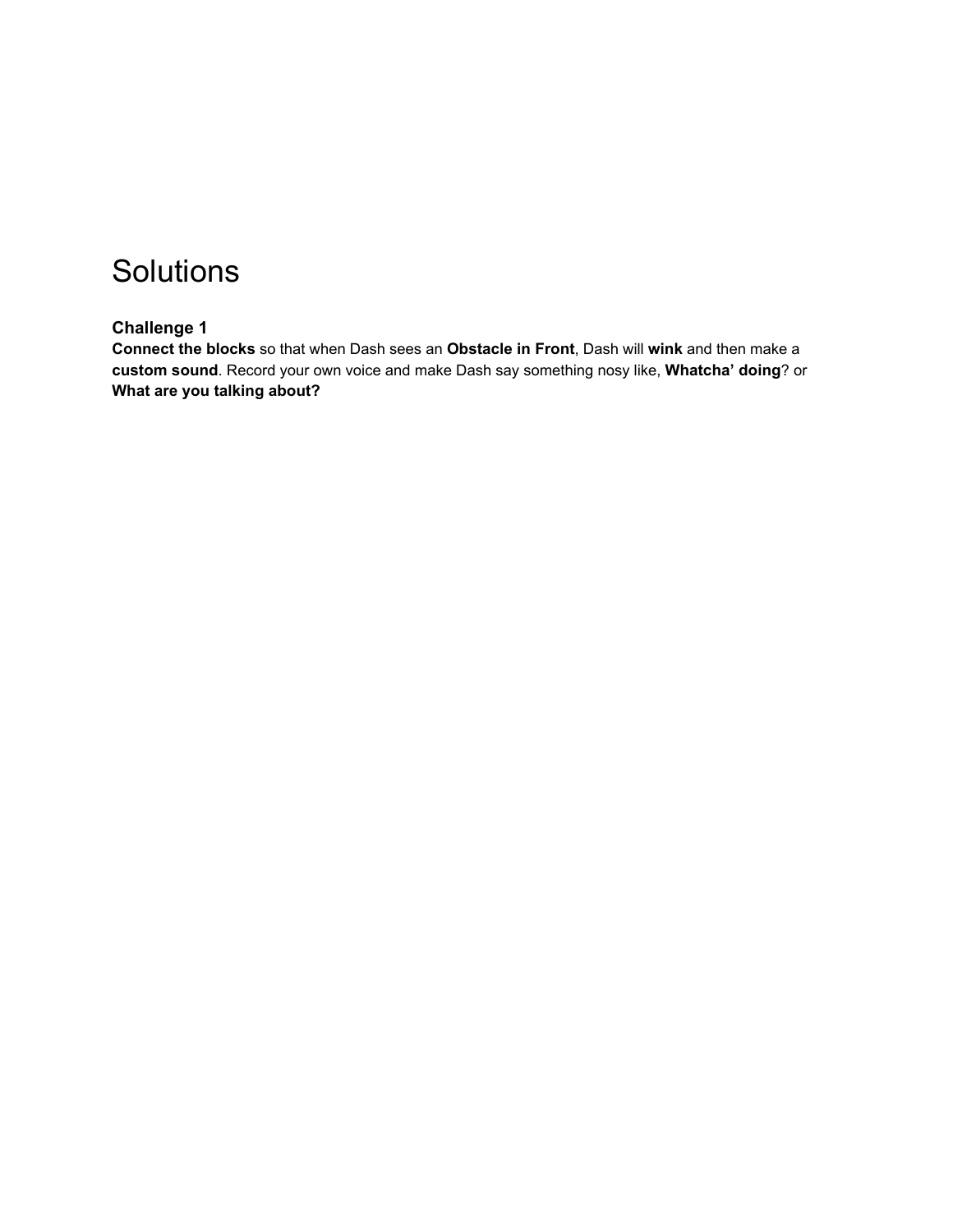## **Solutions**

#### **Challenge 1**

**Connect the blocks** so that when Dash sees an Obstacle in Front, Dash will wink and then make a **custom sound**. Record your own voice and make Dash say something nosy like, **Whatcha' doing**? or **What are you talking about?**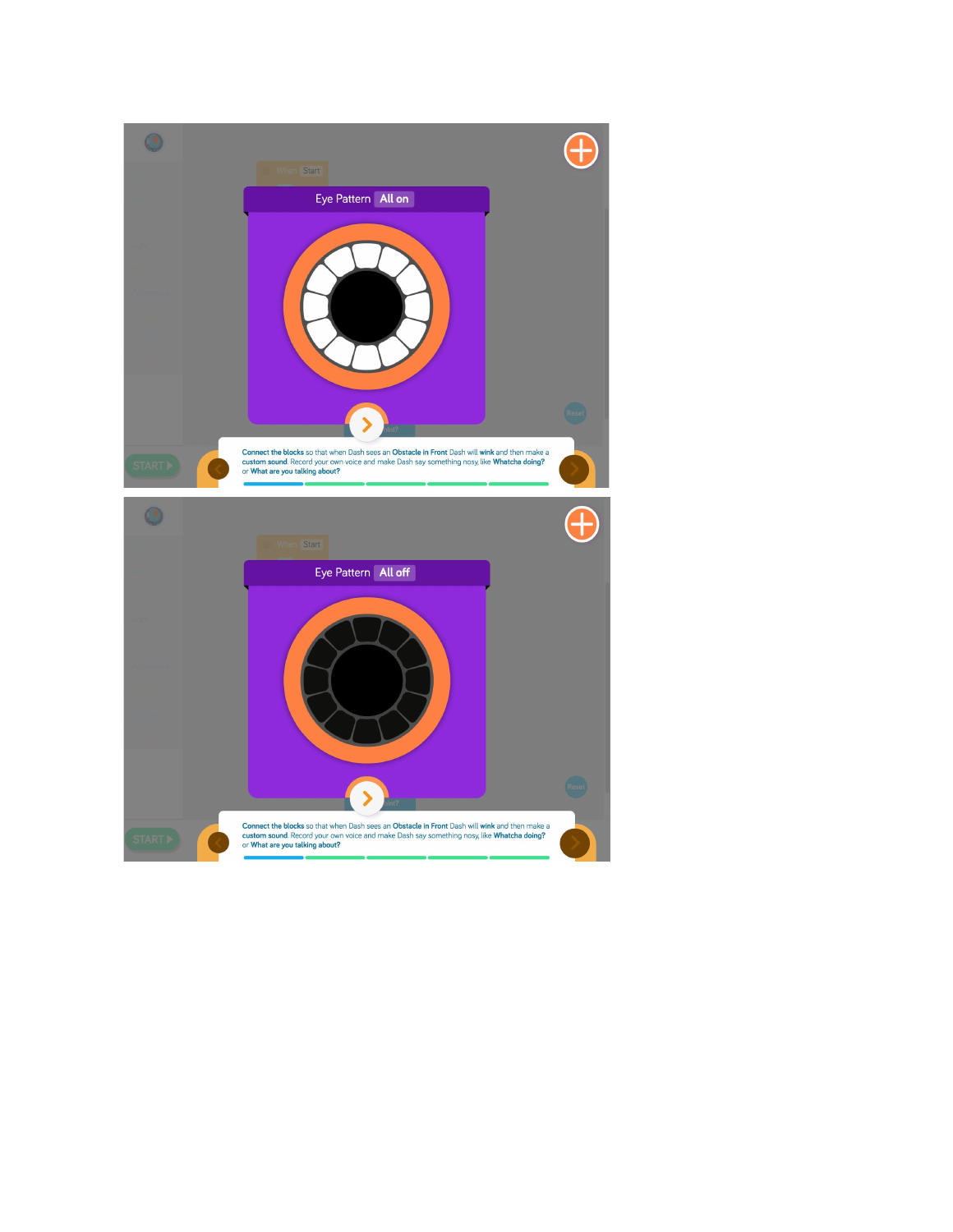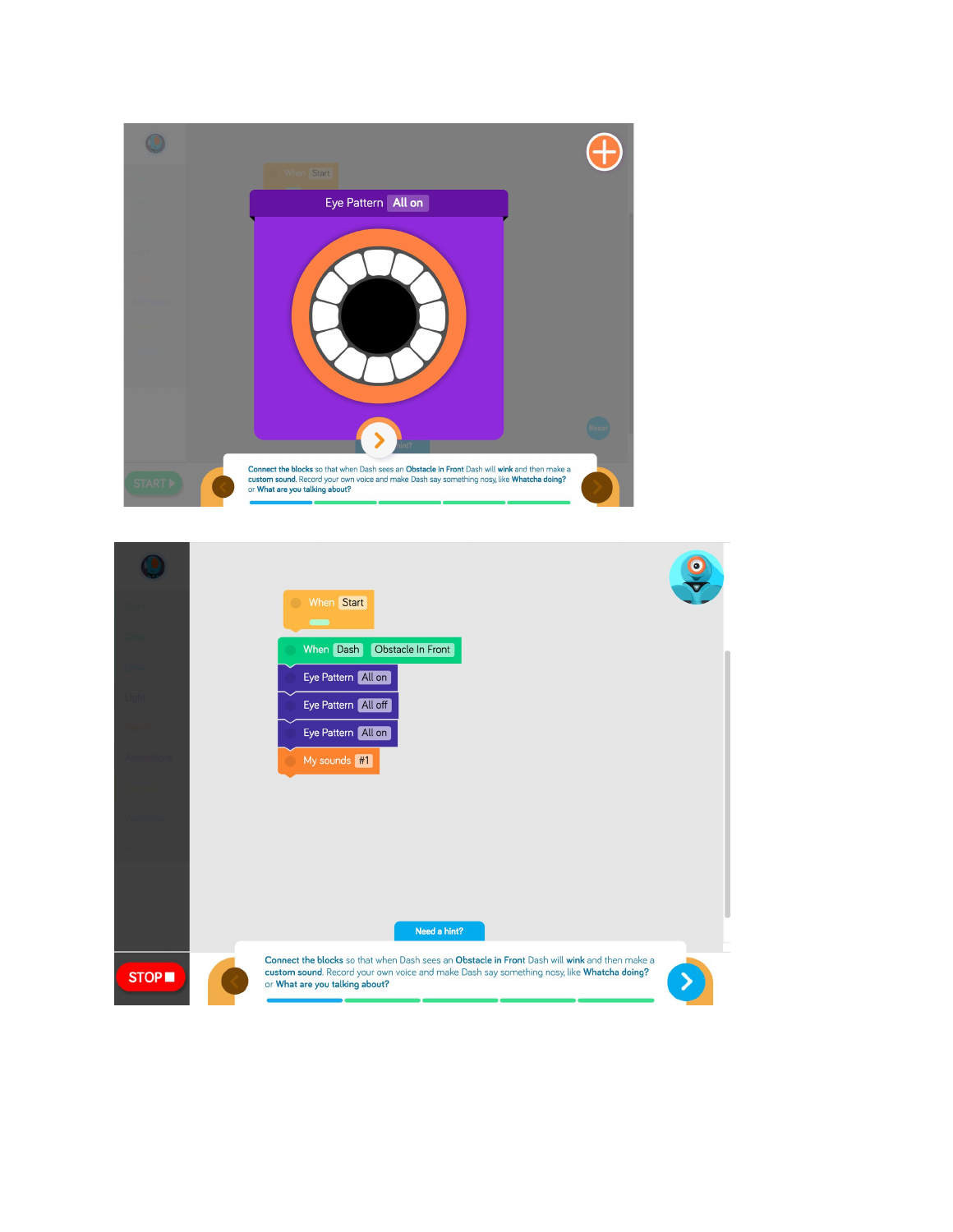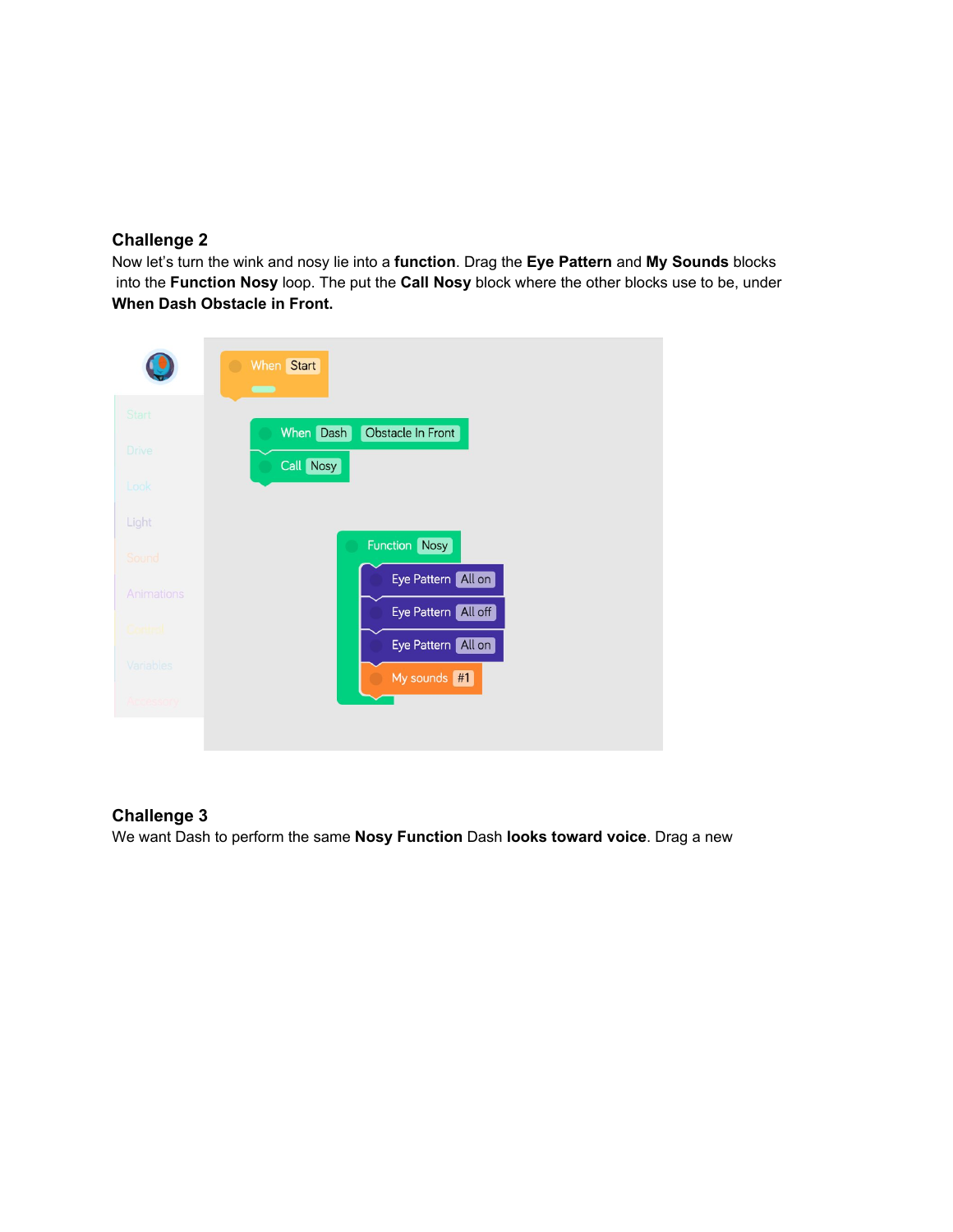#### **Challenge 2**

Now let's turn the wink and nosy lie into a **function**. Drag the **Eye Pattern** and **My Sounds** blocks into the **Function Nosy** loop. The put the **Call Nosy** block where the other blocks use to be, under **When Dash Obstacle in Front.**

|            | When Start<br>$\blacksquare$                |
|------------|---------------------------------------------|
| Start      |                                             |
| Drive      | When Dash<br>Obstacle In Front<br>Call Nosy |
| Look       |                                             |
| Light      |                                             |
| Sound      | <b>Function</b> Nosy                        |
| Animations | Eye Pattern All on                          |
| Cortinal   | Eye Pattern All off                         |
| Variables  | Eye Pattern All on                          |
| Accessory  | My sounds #1                                |
|            |                                             |

#### **Challenge 3**

We want Dash to perform the same **Nosy Function** Dash **looks toward voice**. Drag a new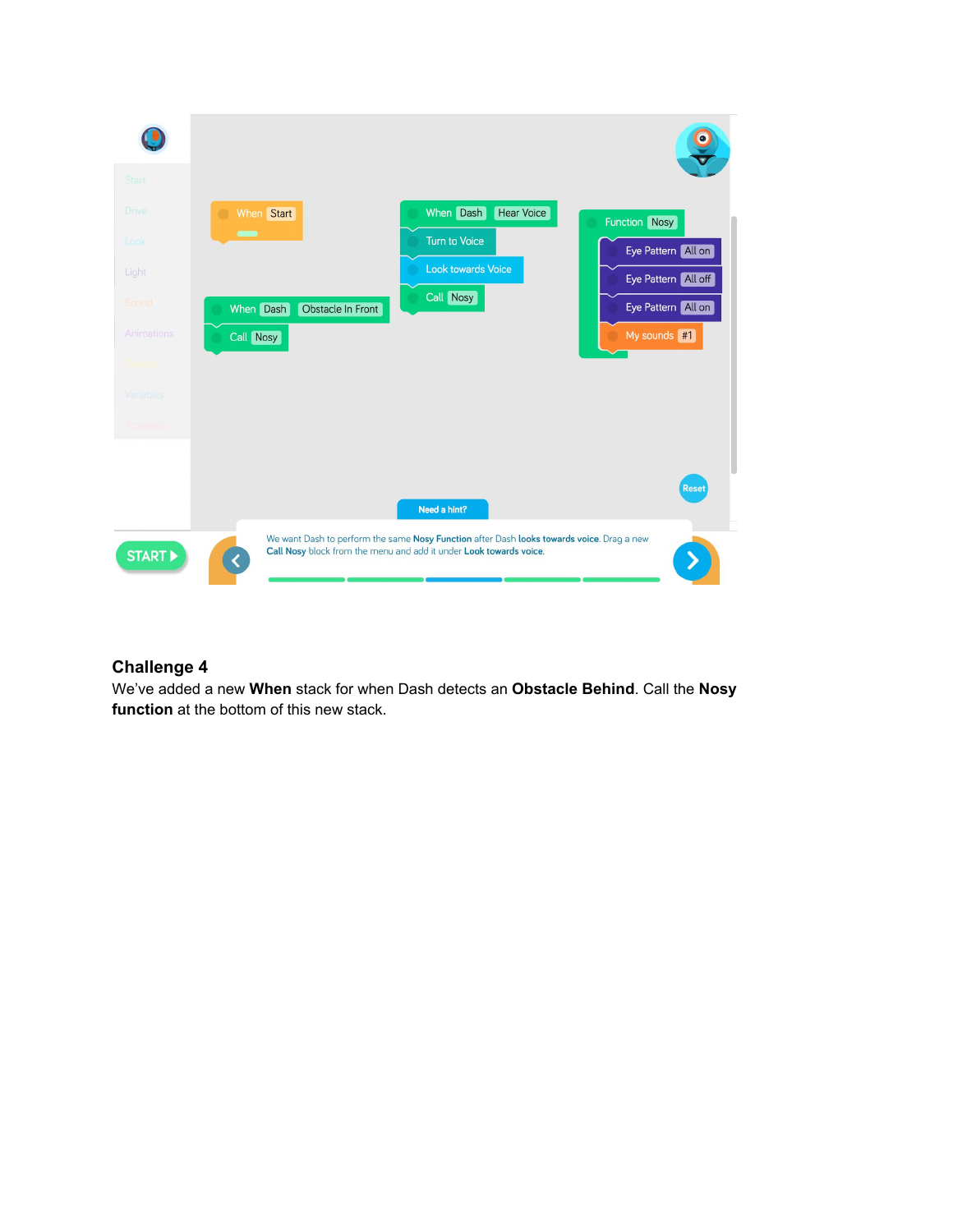

#### **Challenge 4**

We've added a new **When** stack for when Dash detects an **Obstacle Behind**. Call the **Nosy function** at the bottom of this new stack.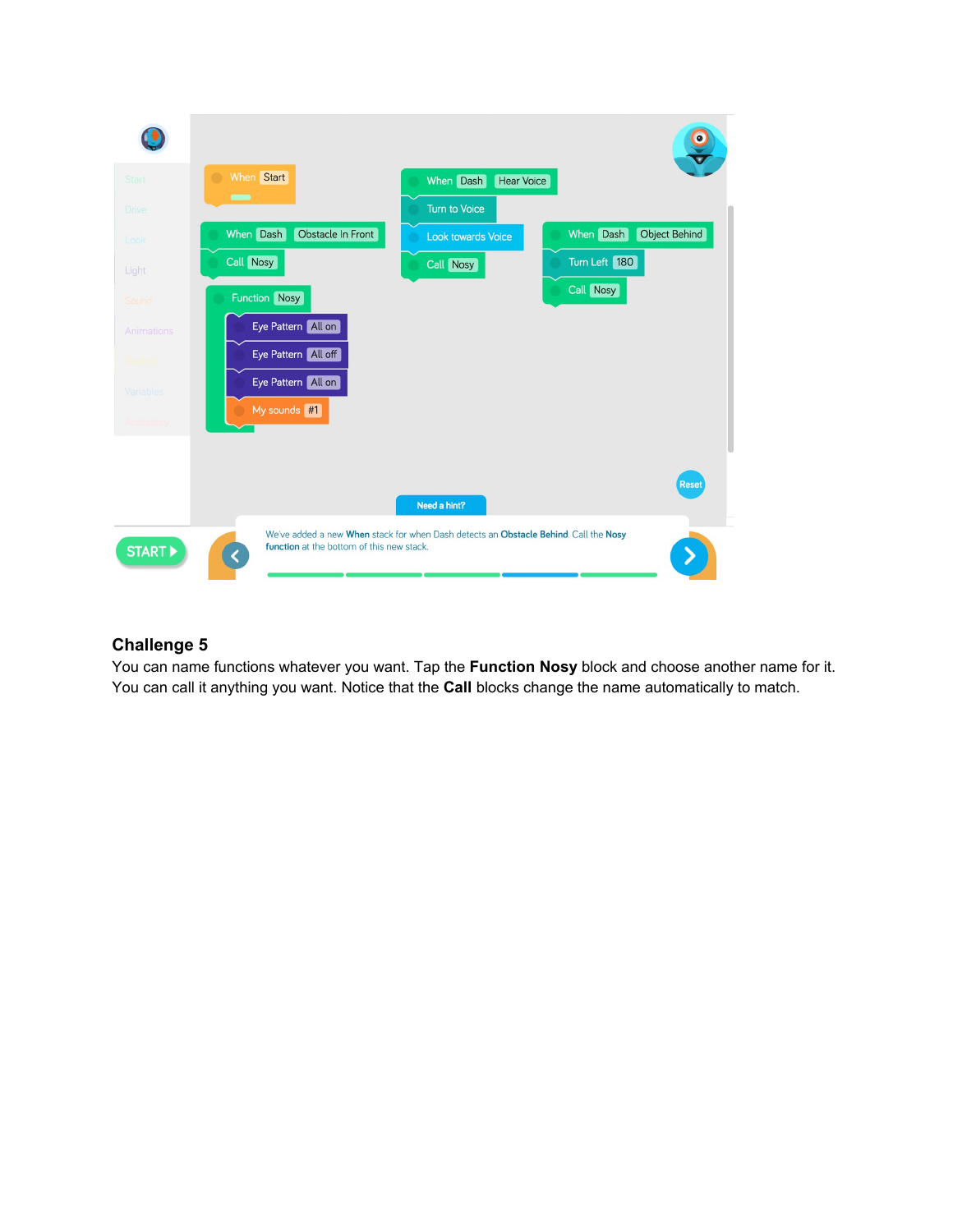

#### **Challenge 5**

You can name functions whatever you want. Tap the **Function Nosy** block and choose another name for it. You can call it anything you want. Notice that the **Call** blocks change the name automatically to match.